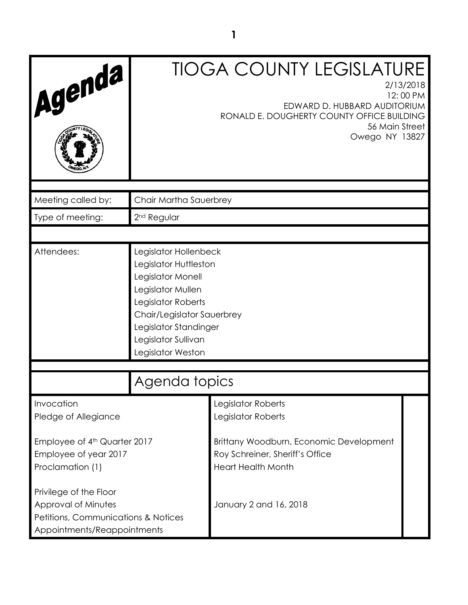| Agenda                                                                                                              | <b>TIOGA COUNTY LEGISLATURE</b><br>2/13/2018<br>12:00 PM<br>EDWARD D. HUBBARD AUDITORIUM<br>RONALD E. DOUGHERTY COUNTY OFFICE BUILDING<br>56 Main Street<br>Owego NY 13827                                        |                                                                                                         |  |
|---------------------------------------------------------------------------------------------------------------------|-------------------------------------------------------------------------------------------------------------------------------------------------------------------------------------------------------------------|---------------------------------------------------------------------------------------------------------|--|
| Meeting called by:                                                                                                  | Chair Martha Sauerbrey                                                                                                                                                                                            |                                                                                                         |  |
| Type of meeting:                                                                                                    | 2 <sup>nd</sup> Regular                                                                                                                                                                                           |                                                                                                         |  |
|                                                                                                                     |                                                                                                                                                                                                                   |                                                                                                         |  |
| Attendees:                                                                                                          | Legislator Hollenbeck<br>Legislator Huttleston<br>Legislator Monell<br>Legislator Mullen<br>Legislator Roberts<br>Chair/Legislator Sauerbrey<br>Legislator Standinger<br>Legislator Sullivan<br>Legislator Weston |                                                                                                         |  |
| Agenda topics                                                                                                       |                                                                                                                                                                                                                   |                                                                                                         |  |
| Invocation<br>Pledge of Allegiance                                                                                  |                                                                                                                                                                                                                   | Legislator Roberts<br>Legislator Roberts                                                                |  |
| Employee of 4th Quarter 2017<br>Employee of year 2017<br>Proclamation (1)                                           |                                                                                                                                                                                                                   | Brittany Woodburn, Economic Development<br>Roy Schreiner, Sheriff's Office<br><b>Heart Health Month</b> |  |
| Privilege of the Floor<br>Approval of Minutes<br>Petitions, Communications & Notices<br>Appointments/Reappointments |                                                                                                                                                                                                                   | January 2 and 16, 2018                                                                                  |  |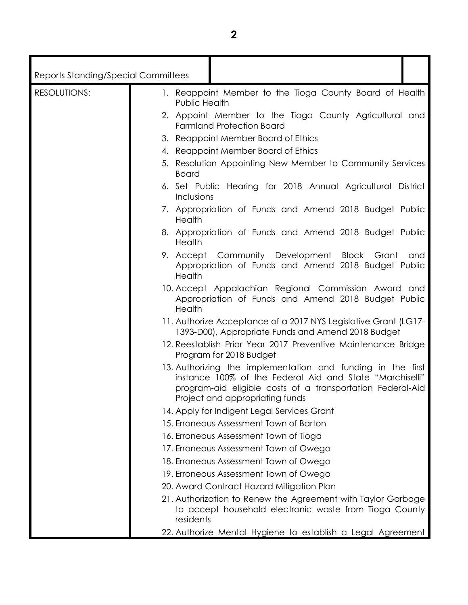| <b>Reports Standing/Special Committees</b> |                                                                                                                                                                                                                          |  |
|--------------------------------------------|--------------------------------------------------------------------------------------------------------------------------------------------------------------------------------------------------------------------------|--|
| <b>RESOLUTIONS:</b>                        | 1. Reappoint Member to the Tioga County Board of Health<br>Public Health                                                                                                                                                 |  |
|                                            | 2. Appoint Member to the Tioga County Agricultural and<br><b>Farmland Protection Board</b>                                                                                                                               |  |
|                                            | 3. Reappoint Member Board of Ethics                                                                                                                                                                                      |  |
|                                            | 4. Reappoint Member Board of Ethics                                                                                                                                                                                      |  |
|                                            | 5. Resolution Appointing New Member to Community Services<br><b>Board</b>                                                                                                                                                |  |
|                                            | 6. Set Public Hearing for 2018 Annual Agricultural District<br>Inclusions                                                                                                                                                |  |
|                                            | 7. Appropriation of Funds and Amend 2018 Budget Public<br>Health                                                                                                                                                         |  |
|                                            | 8. Appropriation of Funds and Amend 2018 Budget Public<br>Health                                                                                                                                                         |  |
|                                            | 9. Accept Community Development Block Grant<br>and<br>Appropriation of Funds and Amend 2018 Budget Public<br>Health                                                                                                      |  |
|                                            | 10. Accept Appalachian Regional Commission Award and<br>Appropriation of Funds and Amend 2018 Budget Public<br>Health                                                                                                    |  |
|                                            | 11. Authorize Acceptance of a 2017 NYS Legislative Grant (LG17-<br>1393-D00), Appropriate Funds and Amend 2018 Budget                                                                                                    |  |
|                                            | 12. Reestablish Prior Year 2017 Preventive Maintenance Bridge<br>Program for 2018 Budget                                                                                                                                 |  |
|                                            | 13. Authorizing the implementation and funding in the first<br>instance 100% of the Federal Aid and State "Marchiselli"<br>program-aid eligible costs of a transportation Federal-Aid<br>Project and appropriating funds |  |
|                                            | 14. Apply for Indigent Legal Services Grant                                                                                                                                                                              |  |
|                                            | 15. Erroneous Assessment Town of Barton                                                                                                                                                                                  |  |
|                                            | 16. Erroneous Assessment Town of Tioga                                                                                                                                                                                   |  |
|                                            | 17. Erroneous Assessment Town of Owego                                                                                                                                                                                   |  |
|                                            | 18. Erroneous Assessment Town of Owego                                                                                                                                                                                   |  |
|                                            | 19. Erroneous Assessment Town of Owego                                                                                                                                                                                   |  |
|                                            | 20. Award Contract Hazard Mitigation Plan                                                                                                                                                                                |  |
|                                            | 21. Authorization to Renew the Agreement with Taylor Garbage<br>to accept household electronic waste from Tioga County<br>residents                                                                                      |  |
|                                            |                                                                                                                                                                                                                          |  |

22. Authorize Mental Hygiene to establish a Legal Agreement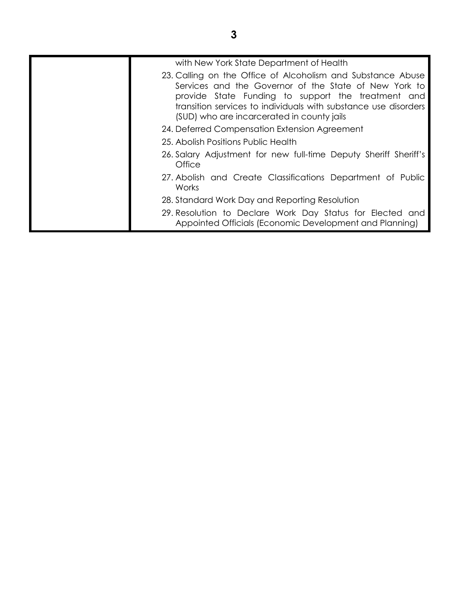| with New York State Department of Health                                                                                                                                                                                                                                                    |
|---------------------------------------------------------------------------------------------------------------------------------------------------------------------------------------------------------------------------------------------------------------------------------------------|
| 23. Calling on the Office of Alcoholism and Substance Abuse<br>Services and the Governor of the State of New York to<br>provide State Funding to support the treatment and<br>transition services to individuals with substance use disorders<br>(SUD) who are incarcerated in county jails |
| 24. Deferred Compensation Extension Agreement                                                                                                                                                                                                                                               |
| 25. Abolish Positions Public Health                                                                                                                                                                                                                                                         |
| 26. Salary Adjustment for new full-time Deputy Sheriff Sheriff's<br>Office                                                                                                                                                                                                                  |
| 27. Abolish and Create Classifications Department of Public<br>Works                                                                                                                                                                                                                        |
| 28. Standard Work Day and Reporting Resolution                                                                                                                                                                                                                                              |
| 29. Resolution to Declare Work Day Status for Elected and<br>Appointed Officials (Economic Development and Planning)                                                                                                                                                                        |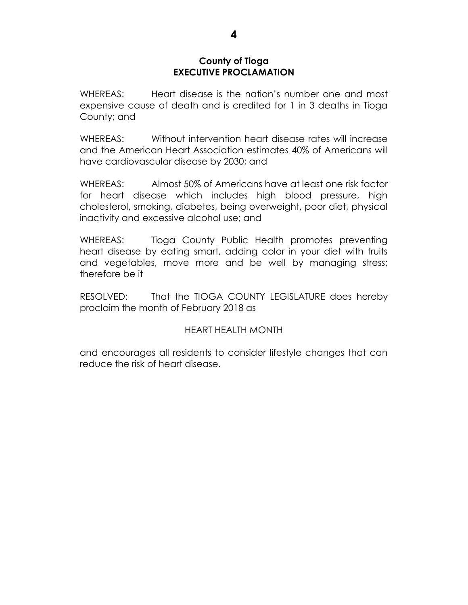#### **County of Tioga EXECUTIVE PROCLAMATION**

WHEREAS: Heart disease is the nation's number one and most expensive cause of death and is credited for 1 in 3 deaths in Tioga County; and

WHEREAS: Without intervention heart disease rates will increase and the American Heart Association estimates 40% of Americans will have cardiovascular disease by 2030; and

WHEREAS: Almost 50% of Americans have at least one risk factor for heart disease which includes high blood pressure, high cholesterol, smoking, diabetes, being overweight, poor diet, physical inactivity and excessive alcohol use; and

WHEREAS: Tioga County Public Health promotes preventing heart disease by eating smart, adding color in your diet with fruits and vegetables, move more and be well by managing stress; therefore be it

RESOLVED: That the TIOGA COUNTY LEGISLATURE does hereby proclaim the month of February 2018 as

# HEART HEALTH MONTH

and encourages all residents to consider lifestyle changes that can reduce the risk of heart disease.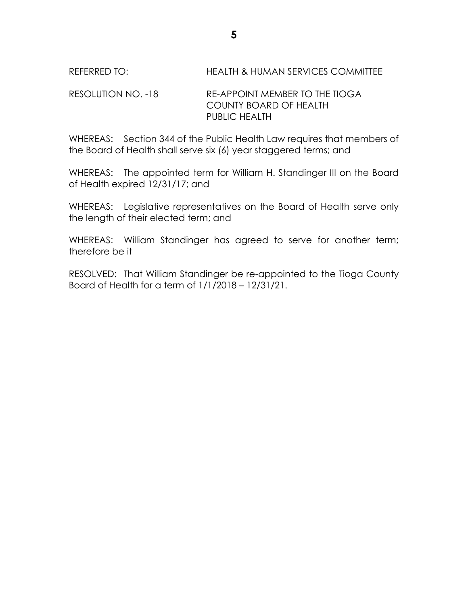# REFERRED TO: HEALTH & HUMAN SERVICES COMMITTEE

### RESOLUTION NO. -18 RE-APPOINT MEMBER TO THE TIOGA COUNTY BOARD OF HEALTH PUBLIC HEALTH

WHEREAS: Section 344 of the Public Health Law requires that members of the Board of Health shall serve six (6) year staggered terms; and

WHEREAS: The appointed term for William H. Standinger III on the Board of Health expired 12/31/17; and

WHEREAS: Legislative representatives on the Board of Health serve only the length of their elected term; and

WHEREAS: William Standinger has agreed to serve for another term; therefore be it

RESOLVED: That William Standinger be re-appointed to the Tioga County Board of Health for a term of 1/1/2018 – 12/31/21.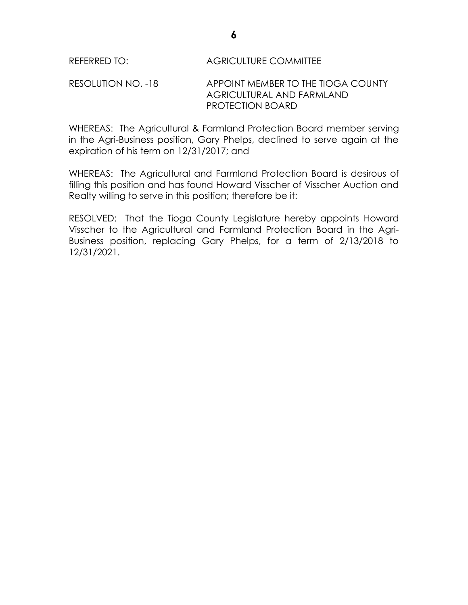RESOLUTION NO. -18 APPOINT MEMBER TO THE TIOGA COUNTY AGRICULTURAL AND FARMLAND PROTECTION BOARD

WHEREAS: The Agricultural & Farmland Protection Board member serving in the Agri-Business position, Gary Phelps, declined to serve again at the expiration of his term on 12/31/2017; and

WHEREAS: The Agricultural and Farmland Protection Board is desirous of filling this position and has found Howard Visscher of Visscher Auction and Realty willing to serve in this position; therefore be it:

RESOLVED: That the Tioga County Legislature hereby appoints Howard Visscher to the Agricultural and Farmland Protection Board in the Agri-Business position, replacing Gary Phelps, for a term of 2/13/2018 to 12/31/2021.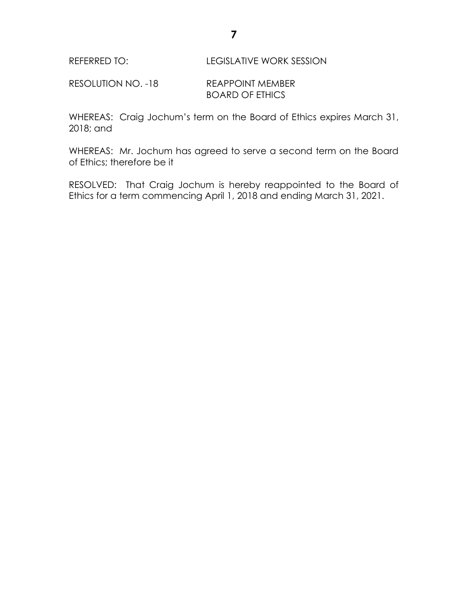RESOLUTION NO. -18 REAPPOINT MEMBER BOARD OF ETHICS

WHEREAS: Craig Jochum's term on the Board of Ethics expires March 31, 2018; and

WHEREAS: Mr. Jochum has agreed to serve a second term on the Board of Ethics; therefore be it

RESOLVED: That Craig Jochum is hereby reappointed to the Board of Ethics for a term commencing April 1, 2018 and ending March 31, 2021.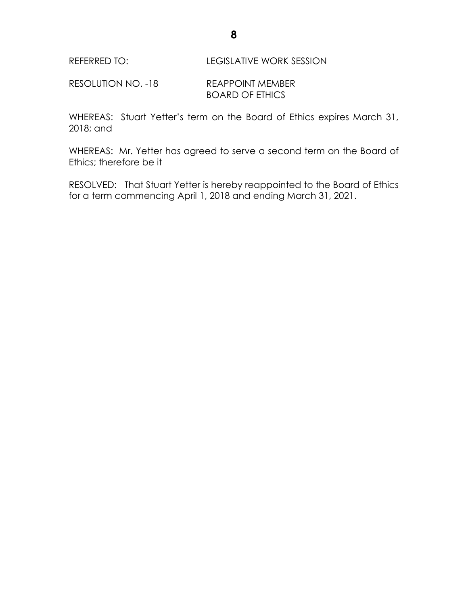RESOLUTION NO. -18 REAPPOINT MEMBER BOARD OF ETHICS

WHEREAS: Stuart Yetter's term on the Board of Ethics expires March 31, 2018; and

WHEREAS: Mr. Yetter has agreed to serve a second term on the Board of Ethics; therefore be it

RESOLVED: That Stuart Yetter is hereby reappointed to the Board of Ethics for a term commencing April 1, 2018 and ending March 31, 2021.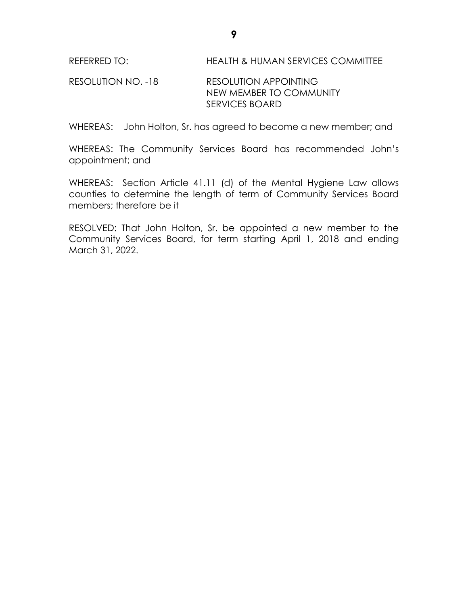# RESOLUTION NO. -18 RESOLUTION APPOINTING NEW MEMBER TO COMMUNITY SERVICES BOARD

WHEREAS: John Holton, Sr. has agreed to become a new member; and

WHEREAS: The Community Services Board has recommended John's appointment; and

WHEREAS: Section Article 41.11 (d) of the Mental Hygiene Law allows counties to determine the length of term of Community Services Board members; therefore be it

RESOLVED: That John Holton, Sr. be appointed a new member to the Community Services Board, for term starting April 1, 2018 and ending March 31, 2022.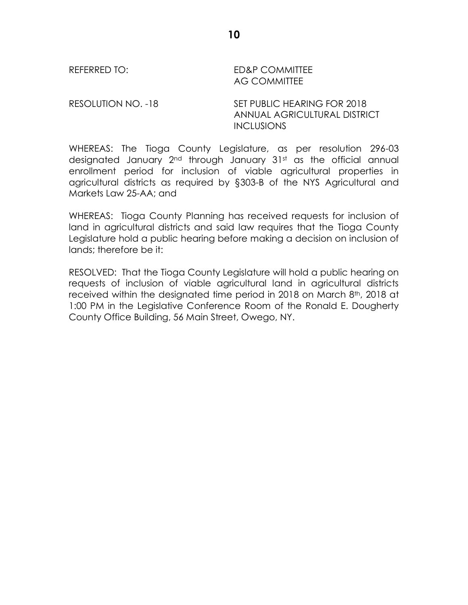REFERRED TO: ED&P COMMITTEE AG COMMITTEE

RESOLUTION NO. -18 SET PUBLIC HEARING FOR 2018 ANNUAL AGRICULTURAL DISTRICT **INCLUSIONS** 

WHEREAS: The Tioga County Legislature, as per resolution 296-03 designated January 2<sup>nd</sup> through January 31st as the official annual enrollment period for inclusion of viable agricultural properties in agricultural districts as required by §303-B of the NYS Agricultural and Markets Law 25-AA; and

WHEREAS: Tioga County Planning has received requests for inclusion of land in agricultural districts and said law requires that the Tioga County Legislature hold a public hearing before making a decision on inclusion of lands; therefore be it:

RESOLVED: That the Tioga County Legislature will hold a public hearing on requests of inclusion of viable agricultural land in agricultural districts received within the designated time period in 2018 on March 8<sup>th</sup>, 2018 at 1:00 PM in the Legislative Conference Room of the Ronald E. Dougherty County Office Building, 56 Main Street, Owego, NY.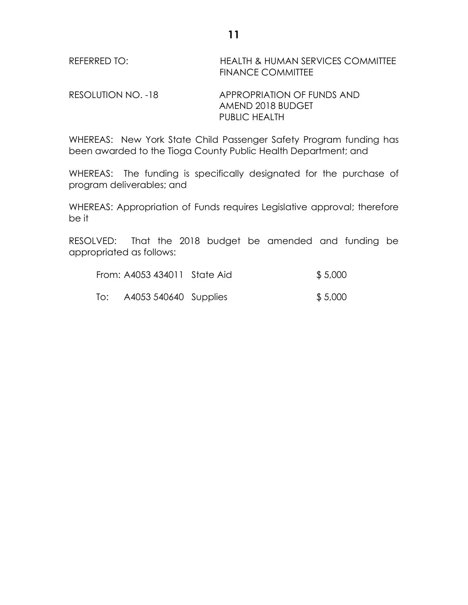| REFERRED TO: | <b>HEALTH &amp; HUMAN SERVICES COMMITTEE</b> |
|--------------|----------------------------------------------|
|              | <b>FINANCE COMMITTEE</b>                     |

RESOLUTION NO. -18 APPROPRIATION OF FUNDS AND AMEND 2018 BUDGET PUBLIC HEALTH

WHEREAS: New York State Child Passenger Safety Program funding has been awarded to the Tioga County Public Health Department; and

WHEREAS: The funding is specifically designated for the purchase of program deliverables; and

WHEREAS: Appropriation of Funds requires Legislative approval; therefore be it

RESOLVED: That the 2018 budget be amended and funding be appropriated as follows:

|     | From: A4053 434011 State Aid | \$5,000 |
|-----|------------------------------|---------|
| To: | A4053 540640 Supplies        | \$5,000 |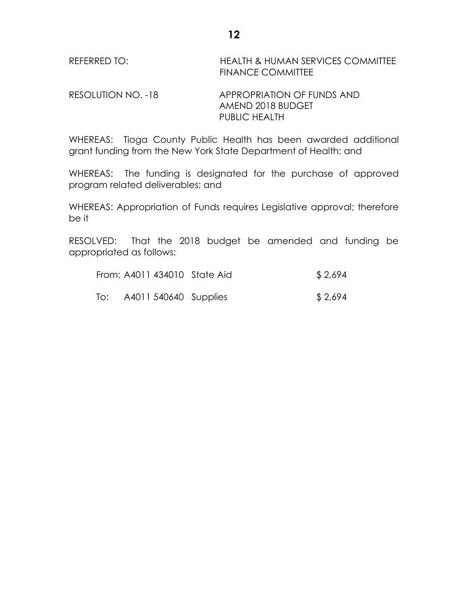RESOLUTION NO. -18 APPROPRIATION OF FUNDS AND AMEND 2018 BUDGET PUBLIC HEALTH

WHEREAS: Tioga County Public Health has been awarded additional grant funding from the New York State Department of Health: and

WHEREAS: The funding is designated for the purchase of approved program related deliverables; and

WHEREAS: Appropriation of Funds requires Legislative approval; therefore be it

RESOLVED: That the 2018 budget be amended and funding be appropriated as follows:

|     | From: A4011 434010 State Aid | \$2,694 |
|-----|------------------------------|---------|
| To: | A4011 540640 Supplies        | \$2,694 |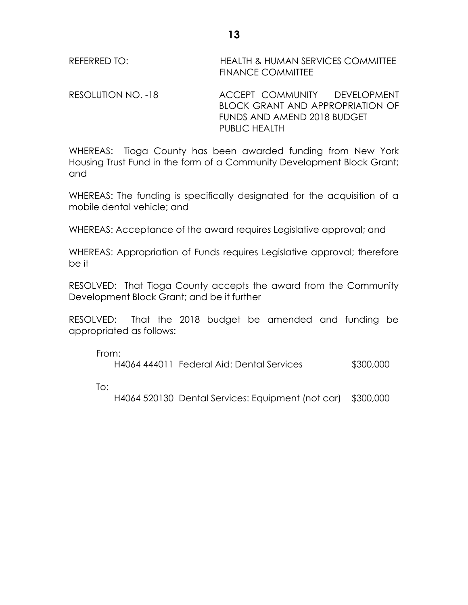REFERRED TO: HEALTH & HUMAN SERVICES COMMITTEE FINANCE COMMITTEE

RESOLUTION NO. -18 ACCEPT COMMUNITY DEVELOPMENT BLOCK GRANT AND APPROPRIATION OF FUNDS AND AMEND 2018 BUDGET PUBLIC HEALTH

WHEREAS: Tioga County has been awarded funding from New York Housing Trust Fund in the form of a Community Development Block Grant; and

WHEREAS: The funding is specifically designated for the acquisition of a mobile dental vehicle; and

WHEREAS: Acceptance of the award requires Legislative approval; and

WHEREAS: Appropriation of Funds requires Legislative approval; therefore be it

RESOLVED: That Tioga County accepts the award from the Community Development Block Grant; and be it further

RESOLVED: That the 2018 budget be amended and funding be appropriated as follows:

From:

H4064 444011 Federal Aid: Dental Services \$300,000

To:

H4064 520130 Dental Services: Equipment (not car) \$300,000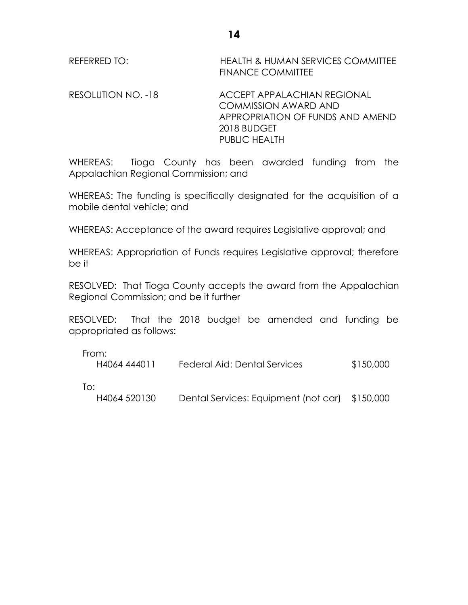REFERRED TO: HEALTH & HUMAN SERVICES COMMITTEE FINANCE COMMITTEE

RESOLUTION NO. -18 ACCEPT APPALACHIAN REGIONAL COMMISSION AWARD AND APPROPRIATION OF FUNDS AND AMEND 2018 BUDGET PUBLIC HEALTH

WHEREAS: Tioga County has been awarded funding from the Appalachian Regional Commission; and

WHEREAS: The funding is specifically designated for the acquisition of a mobile dental vehicle; and

WHEREAS: Acceptance of the award requires Legislative approval; and

WHEREAS: Appropriation of Funds requires Legislative approval; therefore be it

RESOLVED: That Tioga County accepts the award from the Appalachian Regional Commission; and be it further

RESOLVED: That the 2018 budget be amended and funding be appropriated as follows:

From:

| .<br>H4064 444011   | Federal Aid: Dental Services         | \$150,000 |
|---------------------|--------------------------------------|-----------|
| To:<br>H4064 520130 | Dental Services: Equipment (not car) | \$150,000 |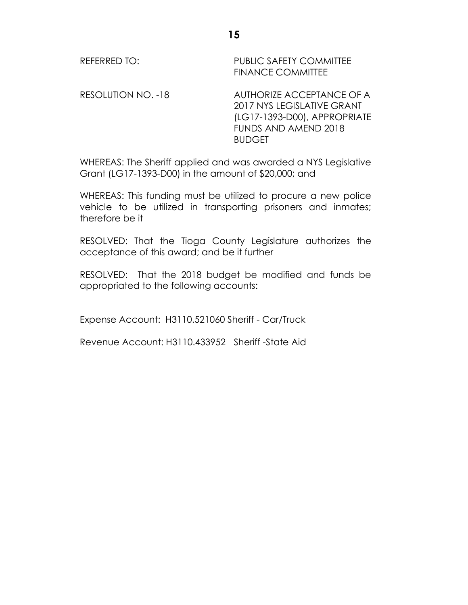REFERRED TO: PUBLIC SAFETY COMMITTEE FINANCE COMMITTEE

RESOLUTION NO. -18 AUTHORIZE ACCEPTANCE OF A 2017 NYS LEGISLATIVE GRANT (LG17-1393-D00), APPROPRIATE FUNDS AND AMEND 2018 BUDGET

WHEREAS: The Sheriff applied and was awarded a NYS Legislative Grant (LG17-1393-D00) in the amount of \$20,000; and

WHEREAS: This funding must be utilized to procure a new police vehicle to be utilized in transporting prisoners and inmates; therefore be it

RESOLVED: That the Tioga County Legislature authorizes the acceptance of this award; and be it further

RESOLVED: That the 2018 budget be modified and funds be appropriated to the following accounts:

Expense Account: H3110.521060 Sheriff - Car/Truck

Revenue Account: H3110.433952 Sheriff -State Aid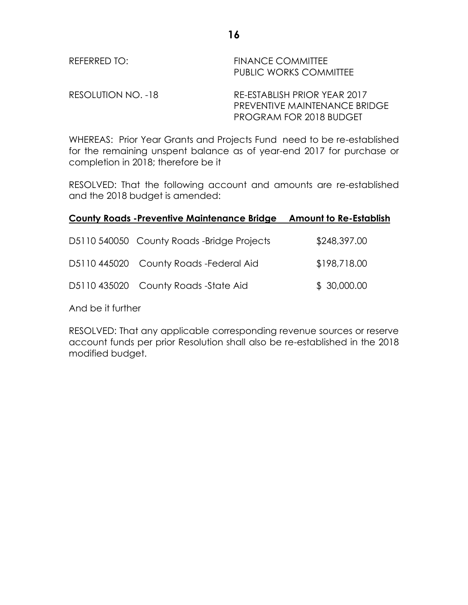RESOLUTION NO. -18 RE-ESTABLISH PRIOR YEAR 2017 PREVENTIVE MAINTENANCE BRIDGE PROGRAM FOR 2018 BUDGET

WHEREAS: Prior Year Grants and Projects Fund need to be re-established for the remaining unspent balance as of year-end 2017 for purchase or completion in 2018; therefore be it

RESOLVED: That the following account and amounts are re-established and the 2018 budget is amended:

### **County Roads -Preventive Maintenance Bridge Amount to Re-Establish**

| D5110 540050 County Roads -Bridge Projects | \$248,397.00 |
|--------------------------------------------|--------------|
| D5110 445020 County Roads - Federal Aid    | \$198,718.00 |
| D5110 435020 County Roads -State Aid       | \$30,000.00  |

And be it further

RESOLVED: That any applicable corresponding revenue sources or reserve account funds per prior Resolution shall also be re-established in the 2018 modified budget.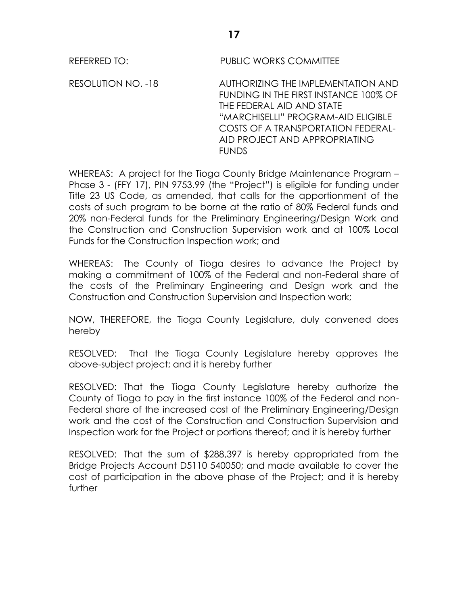REFERRED TO: PUBLIC WORKS COMMITTEE

RESOLUTION NO. -18 AUTHORIZING THE IMPLEMENTATION AND FUNDING IN THE FIRST INSTANCE 100% OF THE FEDERAL AID AND STATE "MARCHISELLI" PROGRAM-AID ELIGIBLE COSTS OF A TRANSPORTATION FEDERAL-AID PROJECT AND APPROPRIATING **FUNDS** 

WHEREAS: A project for the Tioga County Bridge Maintenance Program – Phase 3 - (FFY 17), PIN 9753.99 (the "Project") is eligible for funding under Title 23 US Code, as amended, that calls for the apportionment of the costs of such program to be borne at the ratio of 80% Federal funds and 20% non-Federal funds for the Preliminary Engineering/Design Work and the Construction and Construction Supervision work and at 100% Local Funds for the Construction Inspection work; and

WHEREAS: The County of Tioga desires to advance the Project by making a commitment of 100% of the Federal and non-Federal share of the costs of the Preliminary Engineering and Design work and the Construction and Construction Supervision and Inspection work;

NOW, THEREFORE, the Tioga County Legislature, duly convened does hereby

RESOLVED: That the Tioga County Legislature hereby approves the above-subject project; and it is hereby further

RESOLVED: That the Tioga County Legislature hereby authorize the County of Tioga to pay in the first instance 100% of the Federal and non-Federal share of the increased cost of the Preliminary Engineering/Design work and the cost of the Construction and Construction Supervision and Inspection work for the Project or portions thereof; and it is hereby further

RESOLVED: That the sum of \$288,397 is hereby appropriated from the Bridge Projects Account D5110 540050; and made available to cover the cost of participation in the above phase of the Project; and it is hereby further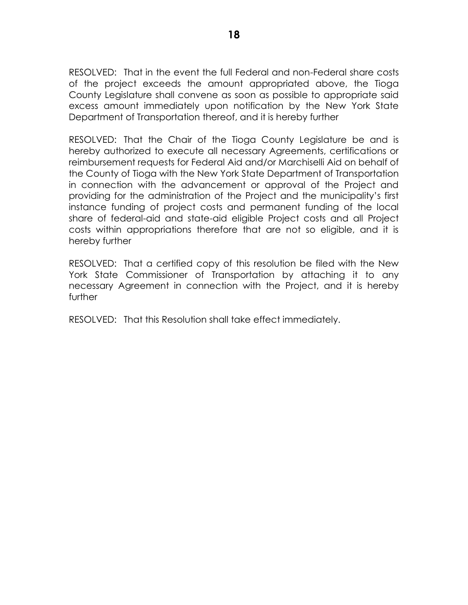RESOLVED: That in the event the full Federal and non-Federal share costs of the project exceeds the amount appropriated above, the Tioga County Legislature shall convene as soon as possible to appropriate said excess amount immediately upon notification by the New York State Department of Transportation thereof, and it is hereby further

RESOLVED: That the Chair of the Tioga County Legislature be and is hereby authorized to execute all necessary Agreements, certifications or reimbursement requests for Federal Aid and/or Marchiselli Aid on behalf of the County of Tioga with the New York State Department of Transportation in connection with the advancement or approval of the Project and providing for the administration of the Project and the municipality's first instance funding of project costs and permanent funding of the local share of federal-aid and state-aid eligible Project costs and all Project costs within appropriations therefore that are not so eligible, and it is hereby further

RESOLVED: That a certified copy of this resolution be filed with the New York State Commissioner of Transportation by attaching it to any necessary Agreement in connection with the Project, and it is hereby further

RESOLVED: That this Resolution shall take effect immediately.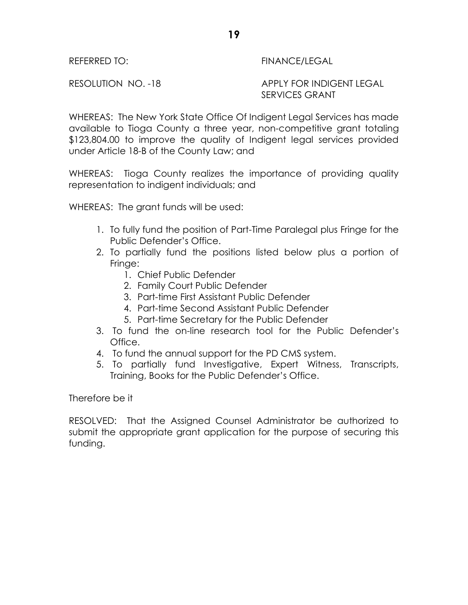# REFERRED TO: The Second Second Second Second Second Second Second Second Second Second Second Second Second Se

RESOLUTION NO. -18 APPLY FOR INDIGENT LEGAL SERVICES GRANT

WHEREAS: The New York State Office Of Indigent Legal Services has made available to Tioga County a three year, non-competitive grant totaling \$123,804.00 to improve the quality of Indigent legal services provided under Article 18-B of the County Law; and

WHEREAS: Tioga County realizes the importance of providing quality representation to indigent individuals; and

WHEREAS: The grant funds will be used:

- 1. To fully fund the position of Part-Time Paralegal plus Fringe for the Public Defender's Office.
- 2. To partially fund the positions listed below plus a portion of Fringe:
	- 1. Chief Public Defender
	- 2. Family Court Public Defender
	- 3. Part-time First Assistant Public Defender
	- 4. Part-time Second Assistant Public Defender
	- 5. Part-time Secretary for the Public Defender
- 3. To fund the on-line research tool for the Public Defender's Office.
- 4. To fund the annual support for the PD CMS system.
- 5. To partially fund Investigative, Expert Witness, Transcripts, Training, Books for the Public Defender's Office.

Therefore be it

RESOLVED: That the Assigned Counsel Administrator be authorized to submit the appropriate grant application for the purpose of securing this funding.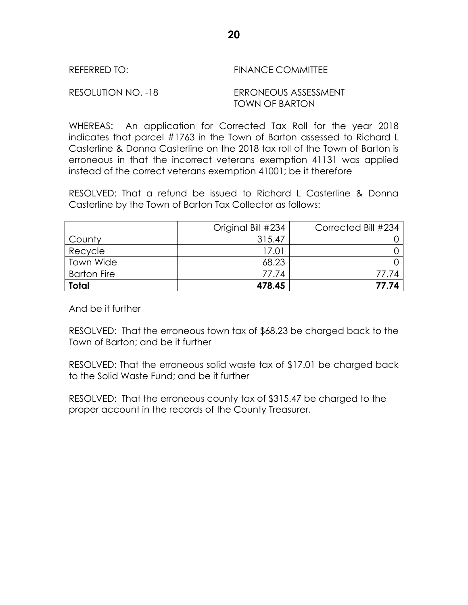| REFERRED TO: | <b>FINANCE COMMITTEE</b> |
|--------------|--------------------------|
|              |                          |

RESOLUTION NO. -18 ERRONEOUS ASSESSMENT TOWN OF BARTON

WHEREAS: An application for Corrected Tax Roll for the year 2018 indicates that parcel #1763 in the Town of Barton assessed to Richard L Casterline & Donna Casterline on the 2018 tax roll of the Town of Barton is erroneous in that the incorrect veterans exemption 41131 was applied instead of the correct veterans exemption 41001; be it therefore

RESOLVED: That a refund be issued to Richard L Casterline & Donna Casterline by the Town of Barton Tax Collector as follows:

|                    | Original Bill #234 | Corrected Bill #234 |
|--------------------|--------------------|---------------------|
| County             | 315.47             |                     |
| Recycle            | 17.01              |                     |
| <b>Town Wide</b>   | 68.23              |                     |
| <b>Barton Fire</b> | 77.74              | 77.74               |
| <b>Total</b>       | 478.45             | 77.74               |

And be it further

RESOLVED: That the erroneous town tax of \$68.23 be charged back to the Town of Barton; and be it further

RESOLVED: That the erroneous solid waste tax of \$17.01 be charged back to the Solid Waste Fund; and be it further

RESOLVED: That the erroneous county tax of \$315.47 be charged to the proper account in the records of the County Treasurer.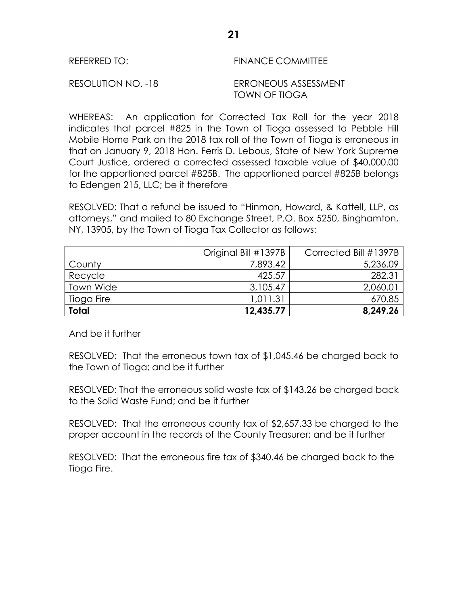| <b>FINANCE COMMITTEE</b><br>REFERRED TO: |
|------------------------------------------|
|------------------------------------------|

RESOLUTION NO. -18 ERRONEOUS ASSESSMENT TOWN OF TIOGA

WHEREAS: An application for Corrected Tax Roll for the year 2018 indicates that parcel #825 in the Town of Tioga assessed to Pebble Hill Mobile Home Park on the 2018 tax roll of the Town of Tioga is erroneous in that on January 9, 2018 Hon. Ferris D. Lebous, State of New York Supreme Court Justice, ordered a corrected assessed taxable value of \$40,000.00 for the apportioned parcel #825B. The apportioned parcel #825B belongs to Edengen 215, LLC; be it therefore

RESOLVED: That a refund be issued to "Hinman, Howard, & Kattell, LLP, as attorneys," and mailed to 80 Exchange Street, P.O. Box 5250, Binghamton, NY, 13905, by the Town of Tioga Tax Collector as follows:

|              | Original Bill #1397B | Corrected Bill #1397B |
|--------------|----------------------|-----------------------|
| County       | 7,893.42             | 5,236.09              |
| Recycle      | 425.57               | 282.31                |
| Town Wide    | 3,105.47             | 2,060.01              |
| Tioga Fire   | 1,011.31             | 670.85                |
| <b>Total</b> | 12,435.77            | 8,249.26              |

And be it further

RESOLVED: That the erroneous town tax of \$1,045.46 be charged back to the Town of Tioga; and be it further

RESOLVED: That the erroneous solid waste tax of \$143.26 be charged back to the Solid Waste Fund; and be it further

RESOLVED: That the erroneous county tax of \$2,657.33 be charged to the proper account in the records of the County Treasurer; and be it further

RESOLVED: That the erroneous fire tax of \$340.46 be charged back to the Tioga Fire.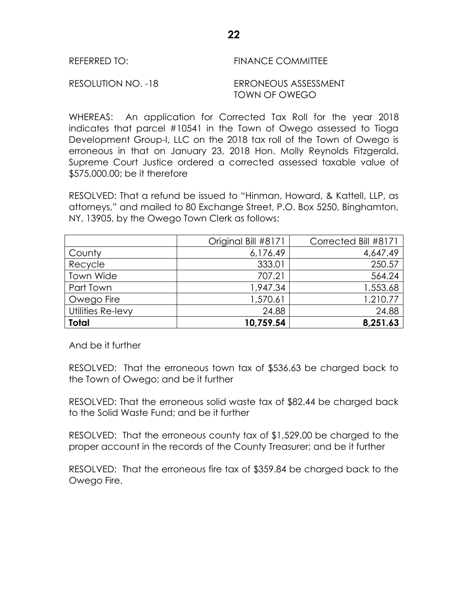RESOLUTION NO. -18 ERRONEOUS ASSESSMENT TOWN OF OWEGO

WHEREAS: An application for Corrected Tax Roll for the year 2018 indicates that parcel #10541 in the Town of Owego assessed to Tioga Development Group-I, LLC on the 2018 tax roll of the Town of Owego is erroneous in that on January 23, 2018 Hon. Molly Reynolds Fitzgerald, Supreme Court Justice ordered a corrected assessed taxable value of \$575,000.00; be it therefore

RESOLVED: That a refund be issued to "Hinman, Howard, & Kattell, LLP, as attorneys," and mailed to 80 Exchange Street, P.O. Box 5250, Binghamton, NY, 13905, by the Owego Town Clerk as follows:

|                   | Original Bill #8171 | Corrected Bill #8171 |
|-------------------|---------------------|----------------------|
| County            | 6,176.49            | 4,647.49             |
| Recycle           | 333.01              | 250.57               |
| Town Wide         | 707.21              | 564.24               |
| Part Town         | 1,947.34            | 1,553.68             |
| Owego Fire        | 1,570.61            | 1,210.77             |
| Utilities Re-levy | 24.88               | 24.88                |
| <b>Total</b>      | 10,759.54           | 8,251.63             |

And be it further

RESOLVED: That the erroneous town tax of \$536.63 be charged back to the Town of Owego; and be it further

RESOLVED: That the erroneous solid waste tax of \$82.44 be charged back to the Solid Waste Fund; and be it further

RESOLVED: That the erroneous county tax of \$1,529.00 be charged to the proper account in the records of the County Treasurer; and be it further

RESOLVED: That the erroneous fire tax of \$359.84 be charged back to the Owego Fire.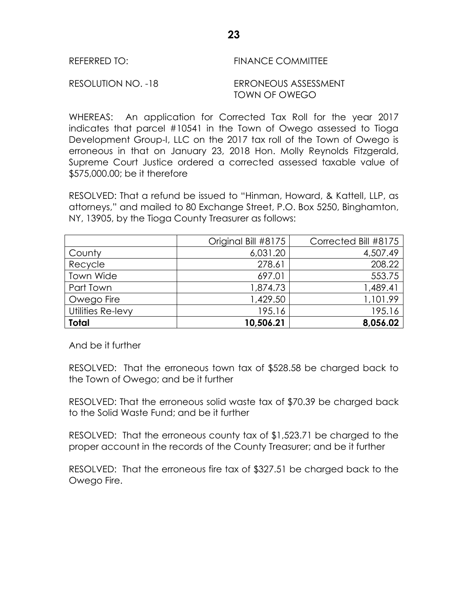RESOLUTION NO. -18 ERRONEOUS ASSESSMENT TOWN OF OWEGO

WHEREAS: An application for Corrected Tax Roll for the year 2017 indicates that parcel #10541 in the Town of Owego assessed to Tioga Development Group-I, LLC on the 2017 tax roll of the Town of Owego is erroneous in that on January 23, 2018 Hon. Molly Reynolds Fitzgerald, Supreme Court Justice ordered a corrected assessed taxable value of \$575,000.00; be it therefore

RESOLVED: That a refund be issued to "Hinman, Howard, & Kattell, LLP, as attorneys," and mailed to 80 Exchange Street, P.O. Box 5250, Binghamton, NY, 13905, by the Tioga County Treasurer as follows:

|                   | Original Bill #8175 | Corrected Bill #8175 |
|-------------------|---------------------|----------------------|
| County            | 6,031.20            | 4,507.49             |
| Recycle           | 278.61              | 208.22               |
| Town Wide         | 697.01              | 553.75               |
| Part Town         | 1,874.73            | 1,489.41             |
| Owego Fire        | 1,429.50            | 1,101.99             |
| Utilities Re-levy | 195.16              | 195.16               |
| <b>Total</b>      | 10,506.21           | 8,056.02             |

And be it further

RESOLVED: That the erroneous town tax of \$528.58 be charged back to the Town of Owego; and be it further

RESOLVED: That the erroneous solid waste tax of \$70.39 be charged back to the Solid Waste Fund; and be it further

RESOLVED: That the erroneous county tax of \$1,523.71 be charged to the proper account in the records of the County Treasurer; and be it further

RESOLVED: That the erroneous fire tax of \$327.51 be charged back to the Owego Fire.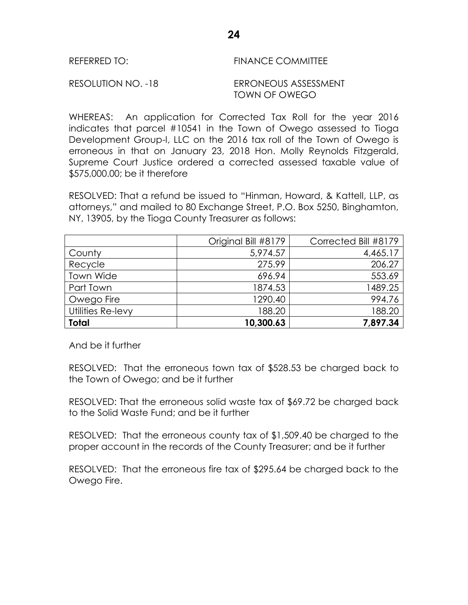| <b>FINANCE COMMITTEE</b><br>REFERRED TO: |
|------------------------------------------|
|------------------------------------------|

RESOLUTION NO. -18 ERRONEOUS ASSESSMENT TOWN OF OWEGO

WHEREAS: An application for Corrected Tax Roll for the year 2016 indicates that parcel #10541 in the Town of Owego assessed to Tioga Development Group-I, LLC on the 2016 tax roll of the Town of Owego is erroneous in that on January 23, 2018 Hon. Molly Reynolds Fitzgerald, Supreme Court Justice ordered a corrected assessed taxable value of \$575,000.00; be it therefore

RESOLVED: That a refund be issued to "Hinman, Howard, & Kattell, LLP, as attorneys," and mailed to 80 Exchange Street, P.O. Box 5250, Binghamton, NY, 13905, by the Tioga County Treasurer as follows:

|                   | Original Bill #8179 | Corrected Bill #8179 |
|-------------------|---------------------|----------------------|
| County            | 5,974.57            | 4,465.17             |
| Recycle           | 275.99              | 206.27               |
| Town Wide         | 696.94              | 553.69               |
| Part Town         | 1874.53             | 1489.25              |
| Owego Fire        | 1290.40             | 994.76               |
| Utilities Re-levy | 188.20              | 188.20               |
| <b>Total</b>      | 10,300.63           | 7,897.34             |

And be it further

RESOLVED: That the erroneous town tax of \$528.53 be charged back to the Town of Owego; and be it further

RESOLVED: That the erroneous solid waste tax of \$69.72 be charged back to the Solid Waste Fund; and be it further

RESOLVED: That the erroneous county tax of \$1,509.40 be charged to the proper account in the records of the County Treasurer; and be it further

RESOLVED: That the erroneous fire tax of \$295.64 be charged back to the Owego Fire.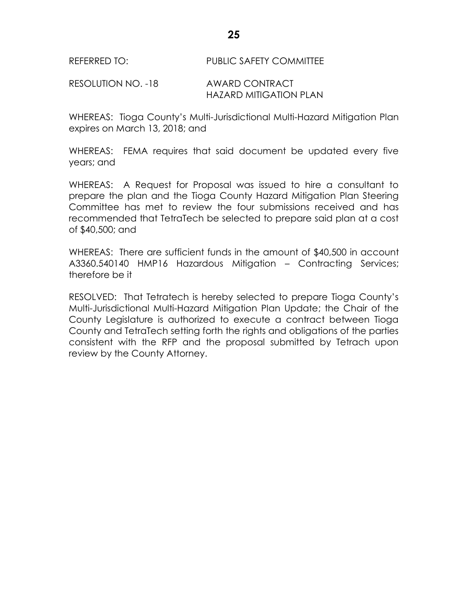RESOLUTION NO. -18 AWARD CONTRACT HAZARD MITIGATION PLAN

WHEREAS: Tioga County's Multi-Jurisdictional Multi-Hazard Mitigation Plan expires on March 13, 2018; and

WHEREAS: FEMA requires that said document be updated every five years; and

WHEREAS: A Request for Proposal was issued to hire a consultant to prepare the plan and the Tioga County Hazard Mitigation Plan Steering Committee has met to review the four submissions received and has recommended that TetraTech be selected to prepare said plan at a cost of \$40,500; and

WHEREAS: There are sufficient funds in the amount of \$40,500 in account A3360.540140 HMP16 Hazardous Mitigation – Contracting Services; therefore be it

RESOLVED: That Tetratech is hereby selected to prepare Tioga County's Multi-Jurisdictional Multi-Hazard Mitigation Plan Update; the Chair of the County Legislature is authorized to execute a contract between Tioga County and TetraTech setting forth the rights and obligations of the parties consistent with the RFP and the proposal submitted by Tetrach upon review by the County Attorney.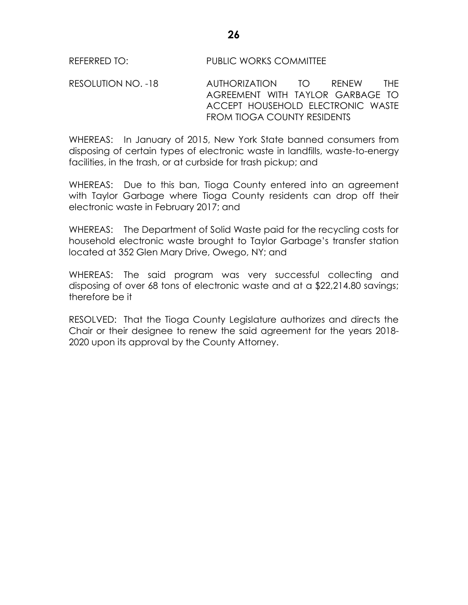RESOLUTION NO. -18 AUTHORIZATION TO RENEW THE AGREEMENT WITH TAYLOR GARBAGE TO ACCEPT HOUSEHOLD ELECTRONIC WASTE FROM TIOGA COUNTY RESIDENTS

WHEREAS: In January of 2015, New York State banned consumers from disposing of certain types of electronic waste in landfills, waste-to-energy facilities, in the trash, or at curbside for trash pickup; and

WHEREAS: Due to this ban, Tioga County entered into an agreement with Taylor Garbage where Tioga County residents can drop off their electronic waste in February 2017; and

WHEREAS: The Department of Solid Waste paid for the recycling costs for household electronic waste brought to Taylor Garbage's transfer station located at 352 Glen Mary Drive, Owego, NY; and

WHEREAS: The said program was very successful collecting and disposing of over 68 tons of electronic waste and at a \$22,214.80 savings; therefore be it

RESOLVED: That the Tioga County Legislature authorizes and directs the Chair or their designee to renew the said agreement for the years 2018- 2020 upon its approval by the County Attorney.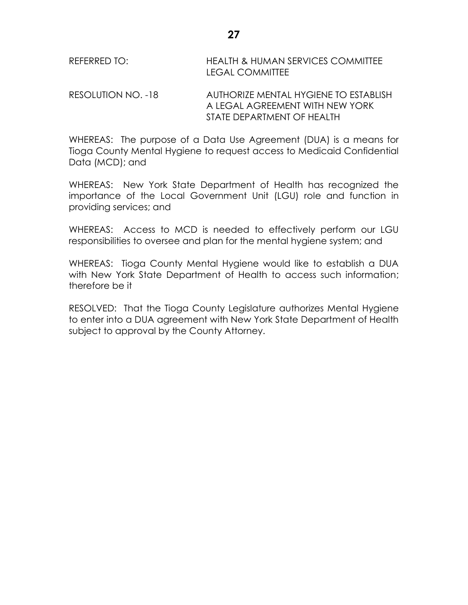| REFERRED TO: | <b>HEALTH &amp; HUMAN SERVICES COMMITTEE</b> |  |
|--------------|----------------------------------------------|--|
|              | <b>LEGAL COMMITTEE</b>                       |  |
|              |                                              |  |

RESOLUTION NO. -18 AUTHORIZE MENTAL HYGIENE TO ESTABLISH A LEGAL AGREEMENT WITH NEW YORK STATE DEPARTMENT OF HEALTH

WHEREAS: The purpose of a Data Use Agreement (DUA) is a means for Tioga County Mental Hygiene to request access to Medicaid Confidential Data (MCD); and

WHEREAS: New York State Department of Health has recognized the importance of the Local Government Unit (LGU) role and function in providing services; and

WHEREAS: Access to MCD is needed to effectively perform our LGU responsibilities to oversee and plan for the mental hygiene system; and

WHEREAS: Tioga County Mental Hygiene would like to establish a DUA with New York State Department of Health to access such information; therefore be it

RESOLVED: That the Tioga County Legislature authorizes Mental Hygiene to enter into a DUA agreement with New York State Department of Health subject to approval by the County Attorney.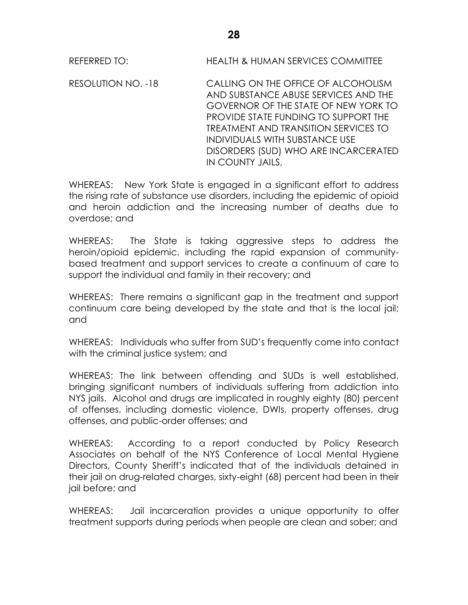REFERRED TO: HEALTH & HUMAN SERVICES COMMITTEE

RESOLUTION NO. -18 CALLING ON THE OFFICE OF ALCOHOLISM AND SUBSTANCE ABUSE SERVICES AND THE GOVERNOR OF THE STATE OF NEW YORK TO PROVIDE STATE FUNDING TO SUPPORT THE TREATMENT AND TRANSITION SERVICES TO INDIVIDUALS WITH SUBSTANCE USE DISORDERS (SUD) WHO ARE INCARCERATED IN COUNTY JAILS,

WHEREAS: New York State is engaged in a significant effort to address the rising rate of substance use disorders, including the epidemic of opioid and heroin addiction and the increasing number of deaths due to overdose; and

WHEREAS: The State is taking aggressive steps to address the heroin/opioid epidemic, including the rapid expansion of communitybased treatment and support services to create a continuum of care to support the individual and family in their recovery; and

WHEREAS: There remains a significant gap in the treatment and support continuum care being developed by the state and that is the local jail; and

WHEREAS: Individuals who suffer from SUD's frequently come into contact with the criminal justice system; and

WHEREAS: The link between offending and SUDs is well established, bringing significant numbers of individuals suffering from addiction into NYS jails. Alcohol and drugs are implicated in roughly eighty (80) percent of offenses, including domestic violence, DWIs, property offenses, drug offenses, and public-order offenses; and

WHEREAS: According to a report conducted by Policy Research Associates on behalf of the NYS Conference of Local Mental Hygiene Directors, County Sheriff's indicated that of the individuals detained in their jail on drug-related charges, sixty-eight (68) percent had been in their jail before; and

WHEREAS: Jail incarceration provides a unique opportunity to offer treatment supports during periods when people are clean and sober; and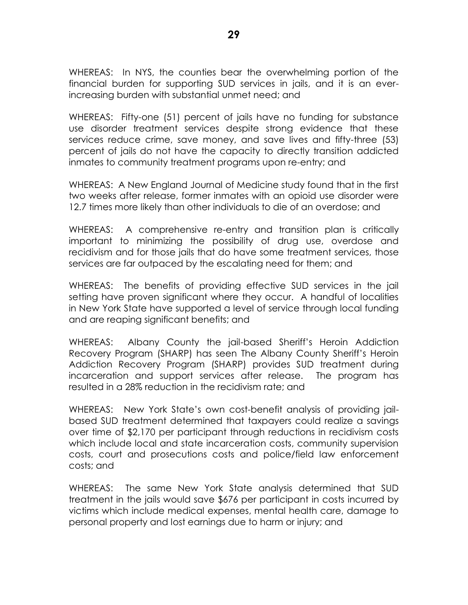WHEREAS: In NYS, the counties bear the overwhelming portion of the financial burden for supporting SUD services in jails, and it is an everincreasing burden with substantial unmet need; and

WHEREAS: Fifty-one (51) percent of jails have no funding for substance use disorder treatment services despite strong evidence that these services reduce crime, save money, and save lives and fifty-three (53) percent of jails do not have the capacity to directly transition addicted inmates to community treatment programs upon re-entry; and

WHEREAS: A New England Journal of Medicine study found that in the first two weeks after release, former inmates with an opioid use disorder were 12.7 times more likely than other individuals to die of an overdose; and

WHEREAS: A comprehensive re-entry and transition plan is critically important to minimizing the possibility of drug use, overdose and recidivism and for those jails that do have some treatment services, those services are far outpaced by the escalating need for them; and

WHEREAS: The benefits of providing effective SUD services in the jail setting have proven significant where they occur. A handful of localities in New York State have supported a level of service through local funding and are reaping significant benefits; and

WHEREAS: Albany County the jail-based Sheriff's Heroin Addiction Recovery Program (SHARP) has seen The Albany County Sheriff's Heroin Addiction Recovery Program (SHARP) provides SUD treatment during incarceration and support services after release. The program has resulted in a 28% reduction in the recidivism rate; and

WHEREAS: New York State's own cost-benefit analysis of providing jailbased SUD treatment determined that taxpayers could realize a savings over time of \$2,170 per participant through reductions in recidivism costs which include local and state incarceration costs, community supervision costs, court and prosecutions costs and police/field law enforcement costs; and

WHEREAS: The same New York State analysis determined that SUD treatment in the jails would save \$676 per participant in costs incurred by victims which include medical expenses, mental health care, damage to personal property and lost earnings due to harm or injury; and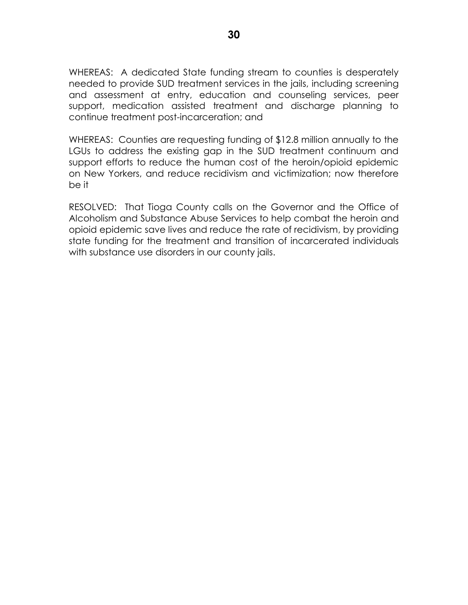WHEREAS: A dedicated State funding stream to counties is desperately needed to provide SUD treatment services in the jails, including screening and assessment at entry, education and counseling services, peer support, medication assisted treatment and discharge planning to continue treatment post-incarceration; and

WHEREAS: Counties are requesting funding of \$12.8 million annually to the LGUs to address the existing gap in the SUD treatment continuum and support efforts to reduce the human cost of the heroin/opioid epidemic on New Yorkers, and reduce recidivism and victimization; now therefore be it

RESOLVED: That Tioga County calls on the Governor and the Office of Alcoholism and Substance Abuse Services to help combat the heroin and opioid epidemic save lives and reduce the rate of recidivism, by providing state funding for the treatment and transition of incarcerated individuals with substance use disorders in our county jails.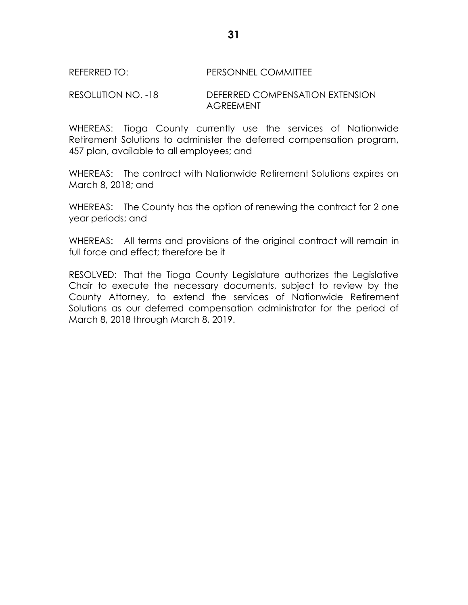#### REFERRED TO: PERSONNEL COMMITTEE

#### RESOLUTION NO. -18 DEFERRED COMPENSATION EXTENSION AGREEMENT

WHEREAS: Tioga County currently use the services of Nationwide Retirement Solutions to administer the deferred compensation program, 457 plan, available to all employees; and

WHEREAS: The contract with Nationwide Retirement Solutions expires on March 8, 2018; and

WHEREAS: The County has the option of renewing the contract for 2 one year periods; and

WHEREAS: All terms and provisions of the original contract will remain in full force and effect; therefore be it

RESOLVED: That the Tioga County Legislature authorizes the Legislative Chair to execute the necessary documents, subject to review by the County Attorney, to extend the services of Nationwide Retirement Solutions as our deferred compensation administrator for the period of March 8, 2018 through March 8, 2019.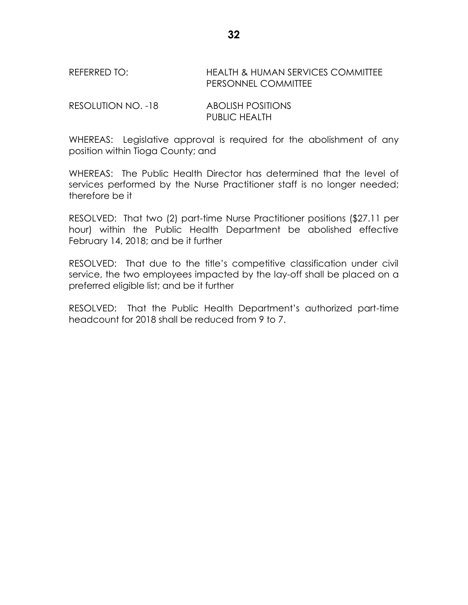REFERRED TO: HEALTH & HUMAN SERVICES COMMITTEE PERSONNEL COMMITTEE

RESOLUTION NO. -18 ABOLISH POSITIONS PUBLIC HEALTH

WHEREAS: Legislative approval is required for the abolishment of any position within Tioga County; and

WHEREAS: The Public Health Director has determined that the level of services performed by the Nurse Practitioner staff is no longer needed; therefore be it

RESOLVED: That two (2) part-time Nurse Practitioner positions (\$27.11 per hour) within the Public Health Department be abolished effective February 14, 2018; and be it further

RESOLVED: That due to the title's competitive classification under civil service, the two employees impacted by the lay-off shall be placed on a preferred eligible list; and be it further

RESOLVED: That the Public Health Department's authorized part-time headcount for 2018 shall be reduced from 9 to 7.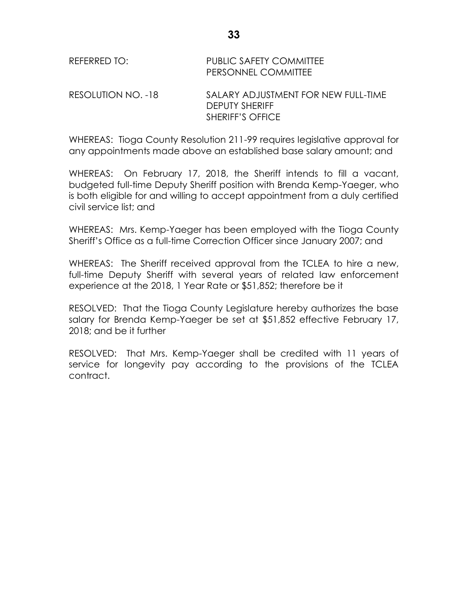| REFERRED TO:       | <b>PUBLIC SAFETY COMMITTEE</b><br>PERSONNEL COMMITTEE                                   |
|--------------------|-----------------------------------------------------------------------------------------|
| RESOLUTION NO. -18 | SALARY ADJUSTMENT FOR NEW FULL-TIME<br><b>DEPUTY SHERIFF</b><br><b>SHERIFF'S OFFICE</b> |

WHEREAS: Tioga County Resolution 211-99 requires legislative approval for any appointments made above an established base salary amount; and

WHEREAS: On February 17, 2018, the Sheriff intends to fill a vacant, budgeted full-time Deputy Sheriff position with Brenda Kemp-Yaeger, who is both eligible for and willing to accept appointment from a duly certified civil service list; and

WHEREAS: Mrs. Kemp-Yaeger has been employed with the Tioga County Sheriff's Office as a full-time Correction Officer since January 2007; and

WHEREAS: The Sheriff received approval from the TCLEA to hire a new, full-time Deputy Sheriff with several years of related law enforcement experience at the 2018, 1 Year Rate or \$51,852; therefore be it

RESOLVED: That the Tioga County Legislature hereby authorizes the base salary for Brenda Kemp-Yaeger be set at \$51,852 effective February 17, 2018; and be it further

RESOLVED: That Mrs. Kemp-Yaeger shall be credited with 11 years of service for longevity pay according to the provisions of the TCLEA contract.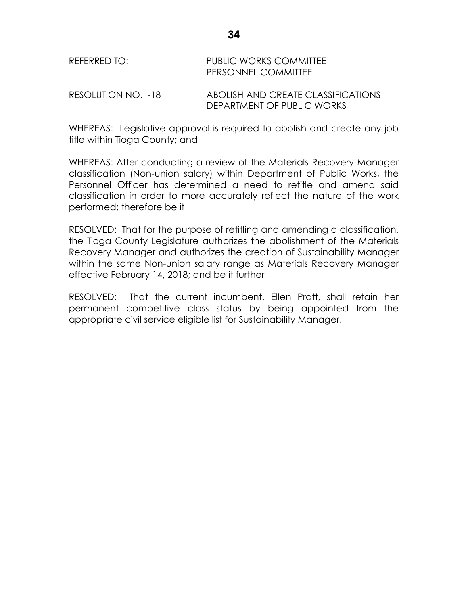| RFFFRRFD TO:       | <b>PUBLIC WORKS COMMITTEE</b><br>PERSONNEL COMMITTEE             |  |  |
|--------------------|------------------------------------------------------------------|--|--|
| RESOLUTION NO. -18 | ABOLISH AND CREATE CLASSIFICATIONS<br>DEPARTMENT OF PUBLIC WORKS |  |  |

WHEREAS: Legislative approval is required to abolish and create any job title within Tioga County; and

WHEREAS: After conducting a review of the Materials Recovery Manager classification (Non-union salary) within Department of Public Works, the Personnel Officer has determined a need to retitle and amend said classification in order to more accurately reflect the nature of the work performed; therefore be it

RESOLVED: That for the purpose of retitling and amending a classification, the Tioga County Legislature authorizes the abolishment of the Materials Recovery Manager and authorizes the creation of Sustainability Manager within the same Non-union salary range as Materials Recovery Manager effective February 14, 2018; and be it further

RESOLVED: That the current incumbent, Ellen Pratt, shall retain her permanent competitive class status by being appointed from the appropriate civil service eligible list for Sustainability Manager.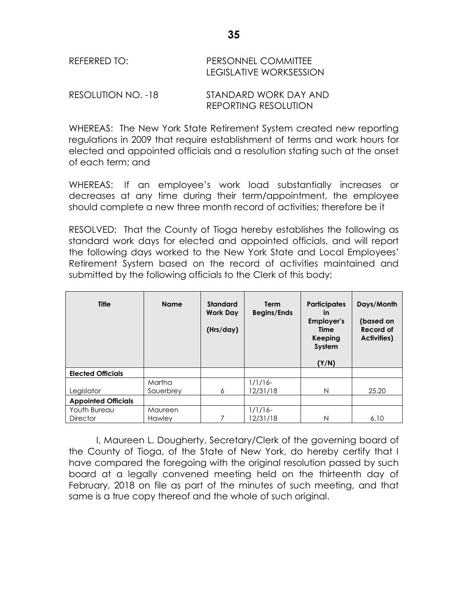| REFERRED TO: | <b>PERSONNEL COMMITTEE</b> |
|--------------|----------------------------|
|              | LEGISLATIVE WORKSESSION    |
|              |                            |

RESOLUTION NO. -18 STANDARD WORK DAY AND REPORTING RESOLUTION

WHEREAS: The New York State Retirement System created new reporting regulations in 2009 that require establishment of terms and work hours for elected and appointed officials and a resolution stating such at the onset of each term; and

WHEREAS: If an employee's work load substantially increases or decreases at any time during their term/appointment, the employee should complete a new three month record of activities; therefore be it

RESOLVED: That the County of Tioga hereby establishes the following as standard work days for elected and appointed officials, and will report the following days worked to the New York State and Local Employees' Retirement System based on the record of activities maintained and submitted by the following officials to the Clerk of this body;

| <b>Title</b>               | <b>Name</b> | <b>Standard</b><br><b>Work Day</b><br>(Hrs/day) | <b>Term</b><br><b>Begins/Ends</b> | <b>Participates</b><br>in<br><b>Employer's</b><br>Time<br>Keeping<br>System<br>(Y/N) | Days/Month<br>(based on<br>Record of<br><b>Activities)</b> |
|----------------------------|-------------|-------------------------------------------------|-----------------------------------|--------------------------------------------------------------------------------------|------------------------------------------------------------|
| <b>Elected Officials</b>   |             |                                                 |                                   |                                                                                      |                                                            |
|                            | Martha      |                                                 | $1/1/16$ -                        |                                                                                      |                                                            |
| Legislator                 | Sauerbrey   | 6                                               | 12/31/18                          | N                                                                                    | 25.20                                                      |
| <b>Appointed Officials</b> |             |                                                 |                                   |                                                                                      |                                                            |
| Youth Bureau               | Maureen     |                                                 | $1/1/16$ -                        |                                                                                      |                                                            |
| <b>Director</b>            | Hawley      | 7                                               | 12/31/18                          | N                                                                                    | 6.10                                                       |

I, Maureen L. Dougherty, Secretary/Clerk of the governing board of the County of Tioga, of the State of New York, do hereby certify that I have compared the foregoing with the original resolution passed by such board at a legally convened meeting held on the thirteenth day of February, 2018 on file as part of the minutes of such meeting, and that same is a true copy thereof and the whole of such original.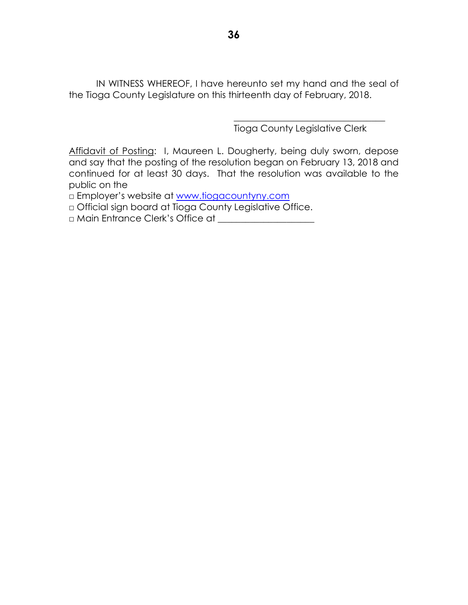IN WITNESS WHEREOF, I have hereunto set my hand and the seal of the Tioga County Legislature on this thirteenth day of February, 2018.

Tioga County Legislative Clerk

\_\_\_\_\_\_\_\_\_\_\_\_\_\_\_\_\_\_\_\_\_\_\_\_\_\_\_\_\_\_\_\_\_

Affidavit of Posting: I, Maureen L. Dougherty, being duly sworn, depose and say that the posting of the resolution began on February 13, 2018 and continued for at least 30 days. That the resolution was available to the public on the

□ Employer's website at [www.tiogacountyny.com](http://www.tiogacountyny.com/)

□ Official sign board at Tioga County Legislative Office.

□ Main Entrance Clerk's Office at \_\_\_\_\_\_\_\_\_\_\_\_\_\_\_\_\_\_\_\_\_